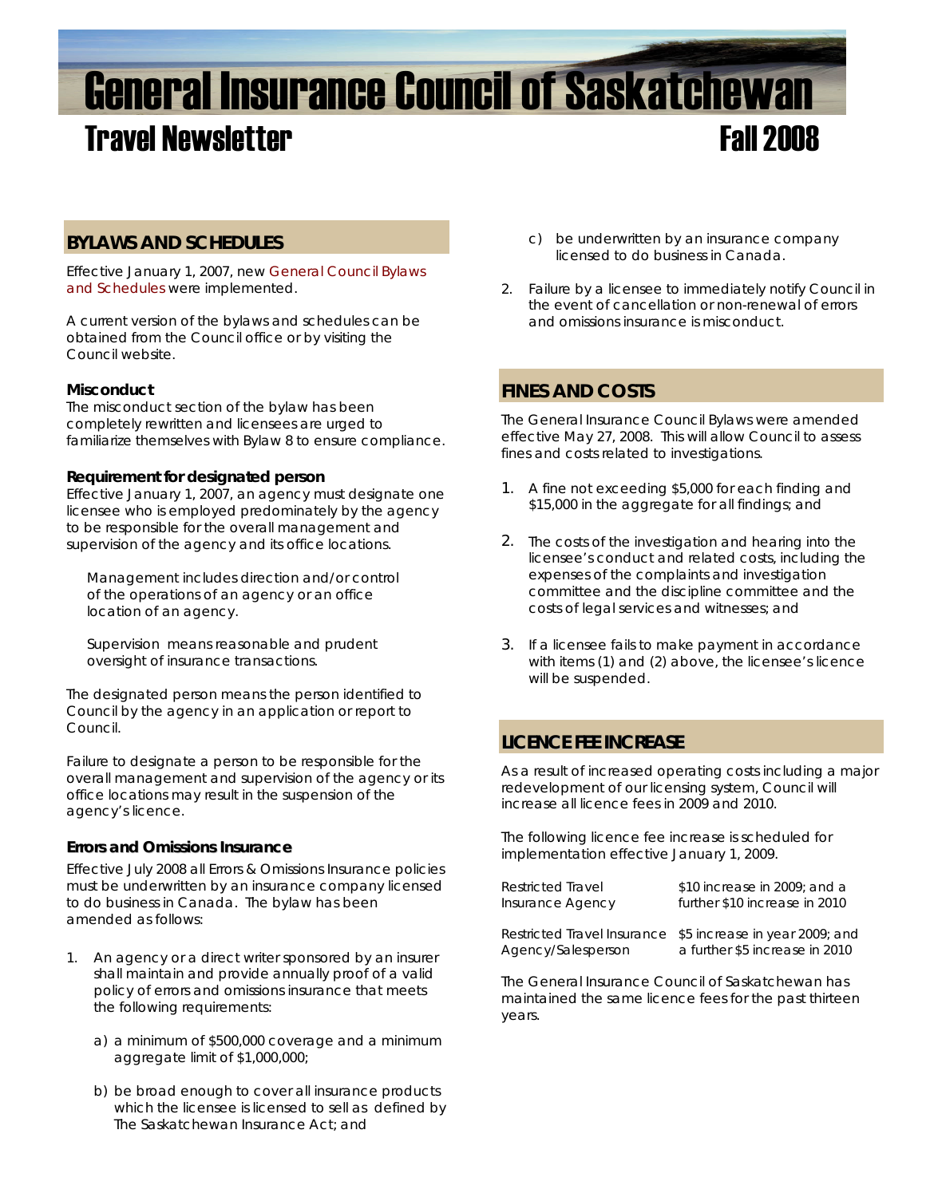# General Insurance Council of Saskatchewan **Travel Newsletter Fall 2008**

# **BYLAWS AND SCHEDULES**

Effective January 1, 2007, new [General Council Bylaws](http://www.skcouncil.sk.ca/adjusters_bylaws.htm)  [and Schedules](http://www.skcouncil.sk.ca/adjusters_bylaws.htm) were implemented.

A current version of the bylaws and schedules can be obtained from the Council office or by visiting the Council website.

## **Misconduct**

The misconduct section of the bylaw has been completely rewritten and licensees are urged to familiarize themselves with Bylaw 8 to ensure compliance.

#### **Requirement for designated person**

Effective January 1, 2007, an agency must designate one licensee who is employed predominately by the agency to be responsible for the overall management and supervision of the agency and its office locations.

*Management includes direction and/or control of the operations of an agency or an office location of an agency.* 

*Supervision means reasonable and prudent oversight of insurance transactions.*

The designated person means the person identified to Council by the agency in an application or report to Council.

Failure to designate a person to be responsible for the overall management and supervision of the agency or its office locations may result in the suspension of the agency's licence.

### **Errors and Omissions Insurance**

Effective July 2008 all Errors & Omissions Insurance policies must be underwritten by an insurance company licensed to do business in Canada. The bylaw has been amended as follows:

- 1. An agency or a direct writer sponsored by an insurer shall maintain and provide annually proof of a valid policy of errors and omissions insurance that meets the following requirements:
	- a) a minimum of \$500,000 coverage and a minimum aggregate limit of \$1,000,000;
	- b) be broad enough to cover all insurance products which the licensee is licensed to sell as defined by The Saskatchewan Insurance Act; and
- c) be underwritten by an insurance company licensed to do business in Canada.
- 2. Failure by a licensee to immediately notify Council in the event of cancellation or non-renewal of errors and omissions insurance is misconduct.

# **FINES AND COSTS**

The General Insurance Council Bylaws were amended effective May 27, 2008. This will allow Council to assess fines and costs related to investigations.

- 1. A fine not exceeding \$5,000 for each finding and \$15,000 in the aggregate for all findings; and
- 2. The costs of the investigation and hearing into the licensee's conduct and related costs, including the expenses of the complaints and investigation committee and the discipline committee and the costs of legal services and witnesses; and
- 3. If a licensee fails to make payment in accordance with items (1) and (2) above, the licensee's licence will be suspended.

# **LICENCE FEE INCREASE**

As a result of increased operating costs including a major redevelopment of our licensing system, Council will increase all licence fees in 2009 and 2010.

The following licence fee increase is scheduled for implementation effective January 1, 2009.

| \$10 increase in 2009; and a                               |
|------------------------------------------------------------|
| further \$10 increase in 2010                              |
|                                                            |
| Restricted Travel Insurance \$5 increase in year 2009; and |
| a further \$5 increase in 2010                             |
|                                                            |

The General Insurance Council of Saskatchewan has maintained the same licence fees for the past thirteen years.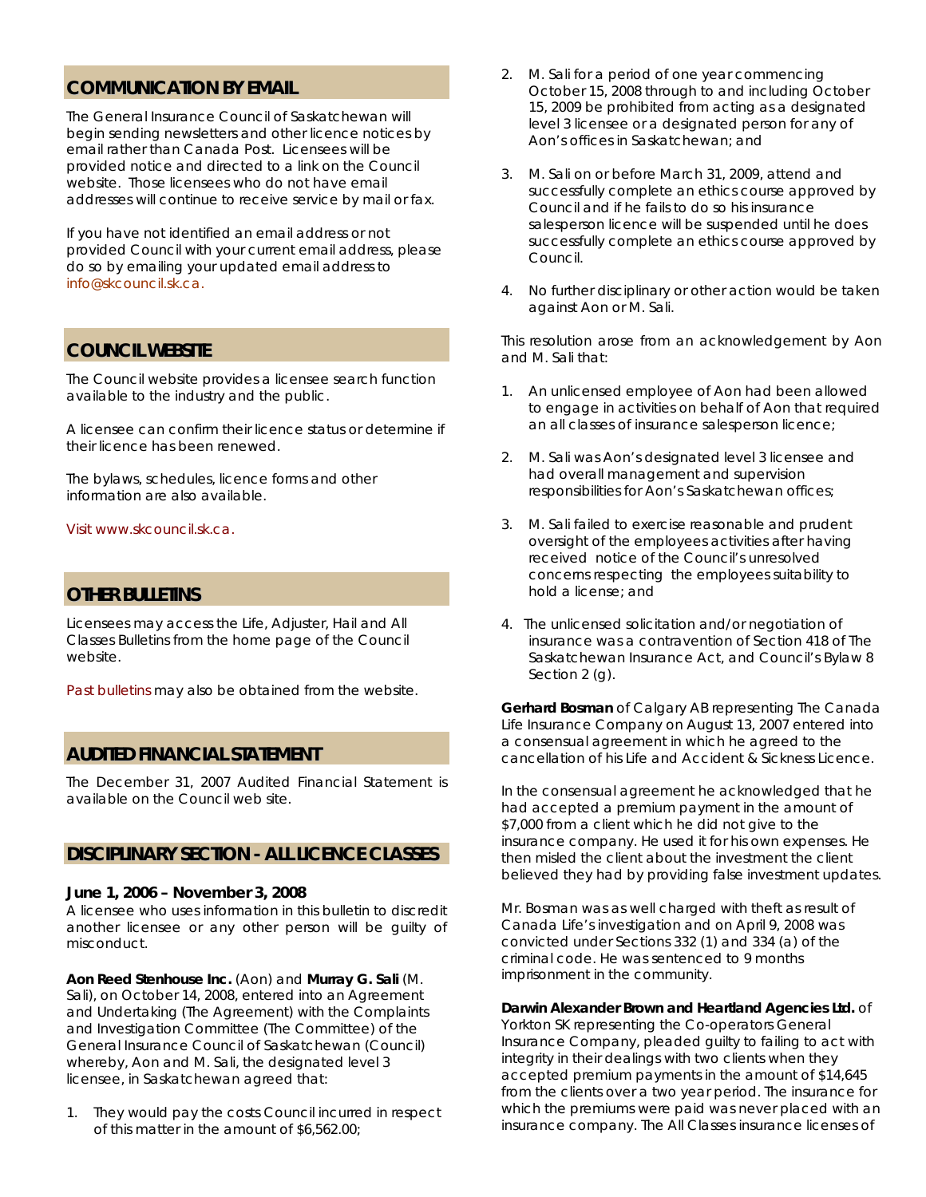# **COMMUNICATION BY EMAIL**

The General Insurance Council of Saskatchewan will begin sending newsletters and other licence notices by email rather than Canada Post. Licensees will be provided notice and directed to a link on the Council website. Those licensees who do not have email addresses will continue to receive service by mail or fax.

If you have not identified an email address or not provided Council with your current email address, please do so by emailing your updated email address to [info@skcouncil.sk.ca.](mailto:info@skcouncil.sk.ca)

## **COUNCIL WEBSITE**

The Council website provides a licensee search function available to the industry and the public.

A licensee can confirm their licence status or determine if their licence has been renewed.

The bylaws, schedules, licence forms and other information are also available.

#### Visit www.skcouncil.sk.ca.

### **OTHER BULLETINS**

Licensees may access the Life, Adjuster, Hail and All Classes Bulletins from the home page of the Council website.

[Past bulletins](http://www.skcouncil.sk.ca/bulletin.htm) may also be obtained from the website.

#### **AUDITED FINANCIAL STATEMENT**

The December 31, 2007 Audited Financial Statement is available on the Council web site.

### **DISCIPLINARY SECTION - ALL LICENCE CLASSES**

#### **June 1, 2006 – November 3, 2008**

A licensee who uses information in this bulletin to discredit another licensee or any other person will be guilty of misconduct.

**Aon Reed Stenhouse Inc.** (Aon) and **Murray G. Sali** (M. Sali), on October 14, 2008, entered into an Agreement and Undertaking (The Agreement) with the Complaints and Investigation Committee (The Committee) of the General Insurance Council of Saskatchewan (Council) whereby, Aon and M. Sali, the designated level 3 licensee, in Saskatchewan agreed that:

1. They would pay the costs Council incurred in respect of this matter in the amount of \$6,562.00;

- 2. M. Sali for a period of one year commencing October 15, 2008 through to and including October 15, 2009 be prohibited from acting as a designated level 3 licensee or a designated person for any of Aon's offices in Saskatchewan; and
- 3. M. Sali on or before March 31, 2009, attend and successfully complete an ethics course approved by Council and if he fails to do so his insurance salesperson licence will be suspended until he does successfully complete an ethics course approved by Council.
- 4. No further disciplinary or other action would be taken against Aon or M. Sali.

 This resolution arose from an acknowledgement by Aon and M. Sali that:

- 1. An unlicensed employee of Aon had been allowed to engage in activities on behalf of Aon that required an all classes of insurance salesperson licence;
- 2. M. Sali was Aon's designated level 3 licensee and had overall management and supervision responsibilities for Aon's Saskatchewan offices;
- 3. M. Sali failed to exercise reasonable and prudent oversight of the employees activities after having received notice of the Council's unresolved concerns respecting the employees suitability to hold a license; and
- 4. The unlicensed solicitation and/or negotiation of insurance was a contravention of Section 418 of *The Saskatchewan Insurance Act,* and Council's Bylaw 8 Section 2 (g).

**Gerhard Bosman** of Calgary AB representing The Canada Life Insurance Company on August 13, 2007 entered into a consensual agreement in which he agreed to the cancellation of his Life and Accident & Sickness Licence.

In the consensual agreement he acknowledged that he had accepted a premium payment in the amount of \$7,000 from a client which he did not give to the insurance company. He used it for his own expenses. He then misled the client about the investment the client believed they had by providing false investment updates.

Mr. Bosman was as well charged with theft as result of Canada Life's investigation and on April 9, 2008 was convicted under Sections 332 (1) and 334 (a) of the criminal code. He was sentenced to 9 months imprisonment in the community.

#### **Darwin Alexander Brown and Heartland Agencies Ltd.** of

Yorkton SK representing the Co-operators General Insurance Company, pleaded guilty to failing to act with integrity in their dealings with two clients when they accepted premium payments in the amount of \$14,645 from the clients over a two year period. The insurance for which the premiums were paid was never placed with an insurance company. The All Classes insurance licenses of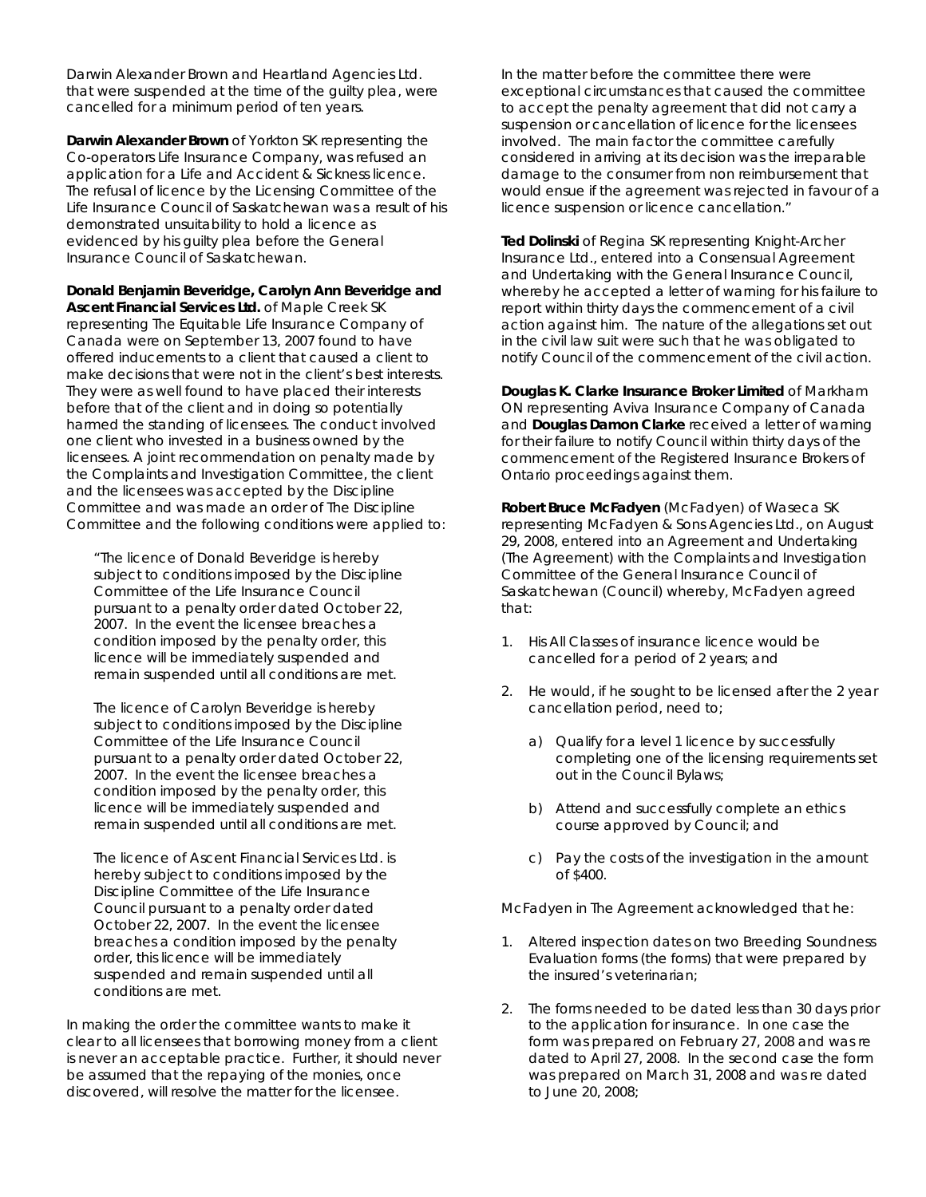Darwin Alexander Brown and Heartland Agencies Ltd. that were suspended at the time of the guilty plea, were cancelled for a minimum period of ten years.

**Darwin Alexander Brown** of Yorkton SK representing the Co-operators Life Insurance Company, was refused an application for a Life and Accident & Sickness licence. The refusal of licence by the Licensing Committee of the Life Insurance Council of Saskatchewan was a result of his demonstrated unsuitability to hold a licence as evidenced by his guilty plea before the General Insurance Council of Saskatchewan.

**Donald Benjamin Beveridge, Carolyn Ann Beveridge and Ascent Financial Services Ltd.** of Maple Creek SK

representing The Equitable Life Insurance Company of Canada were on September 13, 2007 found to have offered inducements to a client that caused a client to make decisions that were not in the client's best interests. They were as well found to have placed their interests before that of the client and in doing so potentially harmed the standing of licensees. The conduct involved one client who invested in a business owned by the licensees. A joint recommendation on penalty made by the Complaints and Investigation Committee, the client and the licensees was accepted by the Discipline Committee and was made an order of The Discipline Committee and the following conditions were applied to:

"The licence of Donald Beveridge is hereby subject to conditions imposed by the Discipline Committee of the Life Insurance Council pursuant to a penalty order dated October 22, 2007. In the event the licensee breaches a condition imposed by the penalty order, this licence will be immediately suspended and remain suspended until all conditions are met.

The licence of Carolyn Beveridge is hereby subject to conditions imposed by the Discipline Committee of the Life Insurance Council pursuant to a penalty order dated October 22, 2007. In the event the licensee breaches a condition imposed by the penalty order, this licence will be immediately suspended and remain suspended until all conditions are met.

The licence of Ascent Financial Services Ltd. is hereby subject to conditions imposed by the Discipline Committee of the Life Insurance Council pursuant to a penalty order dated October 22, 2007. In the event the licensee breaches a condition imposed by the penalty order, this licence will be immediately suspended and remain suspended until all conditions are met.

In making the order the committee wants to make it clear to all licensees that borrowing money from a client is never an acceptable practice. Further, it should never be assumed that the repaying of the monies, once discovered, will resolve the matter for the licensee.

In the matter before the committee there were exceptional circumstances that caused the committee to accept the penalty agreement that did not carry a suspension or cancellation of licence for the licensees involved. The main factor the committee carefully considered in arriving at its decision was the irreparable damage to the consumer from non reimbursement that would ensue if the agreement was rejected in favour of a licence suspension or licence cancellation."

**Ted Dolinski** of Regina SK representing Knight-Archer Insurance Ltd., entered into a Consensual Agreement and Undertaking with the General Insurance Council, whereby he accepted a letter of warning for his failure to report within thirty days the commencement of a civil action against him. The nature of the allegations set out in the civil law suit were such that he was obligated to notify Council of the commencement of the civil action.

**Douglas K. Clarke Insurance Broker Limited** of Markham ON representing Aviva Insurance Company of Canada and **Douglas Damon Clarke** received a letter of warning for their failure to notify Council within thirty days of the commencement of the Registered Insurance Brokers of Ontario proceedings against them.

**Robert Bruce McFadyen** (McFadyen) of Waseca SK representing McFadyen & Sons Agencies Ltd., on August 29, 2008, entered into an Agreement and Undertaking (The Agreement) with the Complaints and Investigation Committee of the General Insurance Council of Saskatchewan (Council) whereby, McFadyen agreed that:

- 1. His All Classes of insurance licence would be cancelled for a period of 2 years; and
- 2. He would, if he sought to be licensed after the 2 year cancellation period, need to;
	- a) Qualify for a level 1 licence by successfully completing one of the licensing requirements set out in the Council Bylaws;
	- b) Attend and successfully complete an ethics course approved by Council; and
	- c) Pay the costs of the investigation in the amount of \$400.

McFadyen in The Agreement acknowledged that he:

- 1. Altered inspection dates on two Breeding Soundness Evaluation forms (the forms) that were prepared by the insured's veterinarian;
- 2. The forms needed to be dated less than 30 days prior to the application for insurance. In one case the form was prepared on February 27, 2008 and was re dated to April 27, 2008. In the second case the form was prepared on March 31, 2008 and was re dated to June 20, 2008;